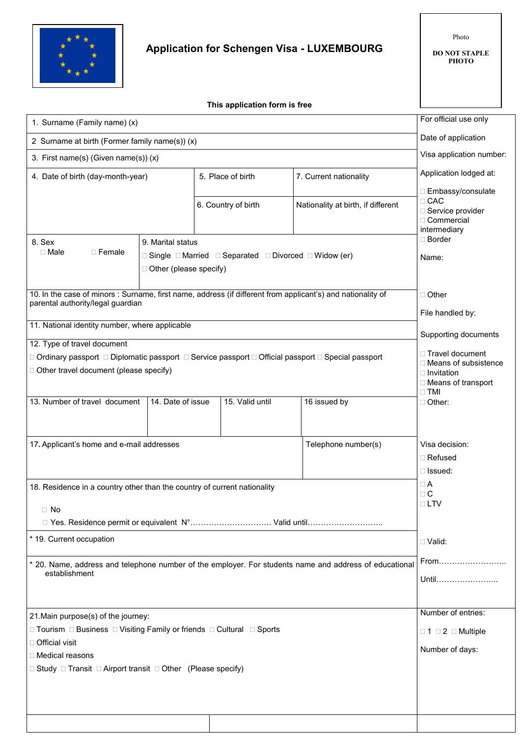

## **Application for Schengen Visa - LUXEMBOURG**

Photo

**DO NOT STAPLE PHOTO**

 **This application form is free**

| 1. Surname (Family name) (x)                                                                                                                     |                          |                                                                                 |       |                                    | For official use only                     |
|--------------------------------------------------------------------------------------------------------------------------------------------------|--------------------------|---------------------------------------------------------------------------------|-------|------------------------------------|-------------------------------------------|
|                                                                                                                                                  |                          |                                                                                 |       |                                    | Date of application                       |
| 2 Surname at birth (Former family name(s)) (x)                                                                                                   |                          |                                                                                 |       |                                    | Visa application number:                  |
| 3. First name(s) (Given name(s)) (x)                                                                                                             |                          |                                                                                 |       |                                    |                                           |
| 4. Date of birth (day-month-year)                                                                                                                |                          | 5. Place of birth                                                               |       | 7. Current nationality             | Application lodged at:                    |
|                                                                                                                                                  |                          |                                                                                 |       |                                    | □ Embassy/consulate<br>$\Box$ CAC         |
|                                                                                                                                                  |                          | 6. Country of birth                                                             |       | Nationality at birth, if different | □ Service provider                        |
|                                                                                                                                                  |                          |                                                                                 |       |                                    | □ Commercial<br>intermediary              |
| 8. Sex                                                                                                                                           | 9. Marital status        |                                                                                 |       |                                    | □ Border                                  |
| $\Box$ Female<br>$\Box$ Male                                                                                                                     |                          | $\Box$ Single $\Box$ Married $\Box$ Separated $\Box$ Divorced $\Box$ Widow (er) | Name: |                                    |                                           |
|                                                                                                                                                  | □ Other (please specify) |                                                                                 |       |                                    |                                           |
| 10. In the case of minors : Surname, first name, address (if different from applicant's) and nationality of<br>parental authority/legal guardian |                          |                                                                                 |       |                                    | □ Other                                   |
|                                                                                                                                                  |                          |                                                                                 |       |                                    | File handled by:                          |
| 11. National identity number, where applicable                                                                                                   |                          |                                                                                 |       |                                    | Supporting documents                      |
| 12. Type of travel document                                                                                                                      |                          |                                                                                 |       |                                    | □ Travel document                         |
| □ Ordinary passport □ Diplomatic passport □ Service passport □ Official passport □ Special passport                                              |                          |                                                                                 |       |                                    | □ Means of subsistence                    |
| □ Other travel document (please specify)                                                                                                         |                          |                                                                                 |       |                                    | $\Box$ Invitation<br>□ Means of transport |
|                                                                                                                                                  |                          |                                                                                 |       |                                    | $\Box$ TMI                                |
| 13. Number of travel document                                                                                                                    | 14. Date of issue        | 15. Valid until                                                                 |       | 16 issued by                       | □ Other:                                  |
|                                                                                                                                                  |                          |                                                                                 |       |                                    |                                           |
| 17. Applicant's home and e-mail addresses                                                                                                        |                          |                                                                                 |       | Telephone number(s)                | Visa decision:                            |
|                                                                                                                                                  |                          |                                                                                 |       | □ Refused                          |                                           |
|                                                                                                                                                  |                          |                                                                                 |       |                                    | $\Box$ Issued:                            |
| 18. Residence in a country other than the country of current nationality                                                                         |                          |                                                                                 |       |                                    | $\Box$ A<br>$\Box$ C                      |
| $\Box$ No                                                                                                                                        |                          |                                                                                 |       |                                    | $\Box$ LTV                                |
| □ Yes. Residence permit or equivalent N° Valid until                                                                                             |                          |                                                                                 |       |                                    |                                           |
| * 19. Current occupation                                                                                                                         |                          |                                                                                 |       |                                    | $\Box$ Valid:                             |
| * 20. Name, address and telephone number of the employer. For students name and address of educational                                           |                          |                                                                                 |       |                                    | From                                      |
| establishment                                                                                                                                    |                          |                                                                                 |       |                                    | Until                                     |
|                                                                                                                                                  |                          |                                                                                 |       |                                    |                                           |
|                                                                                                                                                  |                          |                                                                                 |       |                                    | Number of entries:                        |
| 21. Main purpose(s) of the journey:<br>□ Tourism □ Business □ Visiting Family or friends □ Cultural □ Sports                                     |                          |                                                                                 |       | $\Box$ 1 $\Box$ 2 $\Box$ Multiple  |                                           |
| □ Official visit                                                                                                                                 |                          |                                                                                 |       |                                    |                                           |
| □ Medical reasons                                                                                                                                |                          |                                                                                 |       | Number of days:                    |                                           |
| $\Box$ Study $\Box$ Transit $\Box$ Airport transit $\Box$ Other (Please specify)                                                                 |                          |                                                                                 |       |                                    |                                           |
|                                                                                                                                                  |                          |                                                                                 |       |                                    |                                           |
|                                                                                                                                                  |                          |                                                                                 |       |                                    |                                           |
|                                                                                                                                                  |                          |                                                                                 |       |                                    |                                           |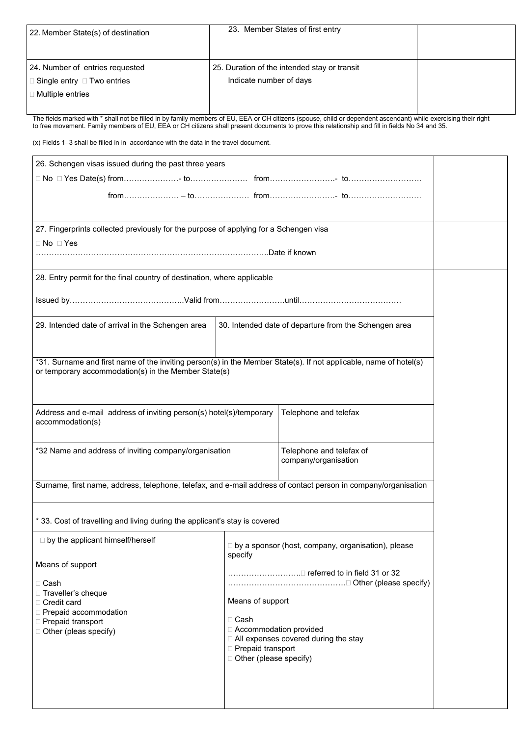| 22. Member State(s) of destination     | 23. Member States of first entry             |  |
|----------------------------------------|----------------------------------------------|--|
|                                        |                                              |  |
| 24. Number of entries requested        | 25. Duration of the intended stay or transit |  |
| $\Box$ Single entry $\Box$ Two entries | Indicate number of days                      |  |
| □ Multiple entries                     |                                              |  |
|                                        |                                              |  |

The fields marked with \* shall not be filled in by family members of EU, EEA or CH citizens (spouse, child or dependent ascendant) while exercising their right to free movement. Family members of EU, EEA or CH citizens shall present documents to prove this relationship and fill in fields No 34 and 35.

(x) Fields 1–3 shall be filled in in accordance with the data in the travel document.

| 26. Schengen visas issued during the past three years                                                             |                                 |                                                       |  |  |
|-------------------------------------------------------------------------------------------------------------------|---------------------------------|-------------------------------------------------------|--|--|
|                                                                                                                   |                                 |                                                       |  |  |
| □ No □ Yes Date(s) from………………… to…………………… from……………………… to………………………                                               |                                 |                                                       |  |  |
|                                                                                                                   |                                 |                                                       |  |  |
|                                                                                                                   |                                 |                                                       |  |  |
| 27. Fingerprints collected previously for the purpose of applying for a Schengen visa                             |                                 |                                                       |  |  |
| □ No □ Yes                                                                                                        |                                 |                                                       |  |  |
|                                                                                                                   |                                 |                                                       |  |  |
| 28. Entry permit for the final country of destination, where applicable                                           |                                 |                                                       |  |  |
|                                                                                                                   |                                 |                                                       |  |  |
|                                                                                                                   |                                 |                                                       |  |  |
| 29. Intended date of arrival in the Schengen area                                                                 |                                 | 30. Intended date of departure from the Schengen area |  |  |
|                                                                                                                   |                                 |                                                       |  |  |
| *31. Surname and first name of the inviting person(s) in the Member State(s). If not applicable, name of hotel(s) |                                 |                                                       |  |  |
| or temporary accommodation(s) in the Member State(s)                                                              |                                 |                                                       |  |  |
|                                                                                                                   |                                 |                                                       |  |  |
|                                                                                                                   |                                 |                                                       |  |  |
| Address and e-mail address of inviting person(s) hotel(s)/temporary<br>accommodation(s)                           |                                 | Telephone and telefax                                 |  |  |
|                                                                                                                   |                                 |                                                       |  |  |
| *32 Name and address of inviting company/organisation                                                             |                                 | Telephone and telefax of                              |  |  |
|                                                                                                                   |                                 | company/organisation                                  |  |  |
| Surname, first name, address, telephone, telefax, and e-mail address of contact person in company/organisation    |                                 |                                                       |  |  |
|                                                                                                                   |                                 |                                                       |  |  |
|                                                                                                                   |                                 |                                                       |  |  |
| * 33. Cost of travelling and living during the applicant's stay is covered                                        |                                 |                                                       |  |  |
| $\Box$ by the applicant himself/herself                                                                           |                                 |                                                       |  |  |
|                                                                                                                   | specify                         | □ by a sponsor (host, company, organisation), please  |  |  |
| Means of support                                                                                                  |                                 |                                                       |  |  |
| □ Cash                                                                                                            | □ referred to in field 31 or 32 |                                                       |  |  |
| □ Traveller's cheque                                                                                              | Means of support<br>$\Box$ Cash |                                                       |  |  |
| □ Credit card<br>Prepaid accommodation                                                                            |                                 |                                                       |  |  |
| □ Prepaid transport                                                                                               |                                 |                                                       |  |  |
| Other (pleas specify)                                                                                             | □ Accommodation provided        | □ All expenses covered during the stay                |  |  |
|                                                                                                                   | □ Prepaid transport             |                                                       |  |  |
|                                                                                                                   | □ Other (please specify)        |                                                       |  |  |
|                                                                                                                   |                                 |                                                       |  |  |
|                                                                                                                   |                                 |                                                       |  |  |
|                                                                                                                   |                                 |                                                       |  |  |